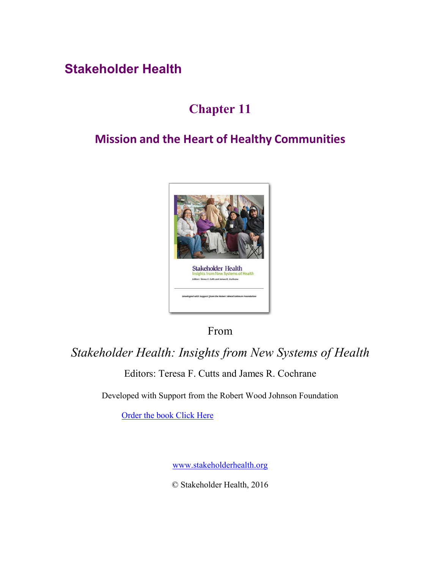# **Stakeholder Health**

# **Chapter 11**

# **Mission and the Heart of Healthy Communities**



From

# *Stakeholder Health: Insights from New Systems of Health*

# Editors: Teresa F. Cutts and James R. Cochrane

Developed with Support from the Robert Wood Johnson Foundation

Order the [book Click Here](https://www.amazon.com/Stakeholder-Health-Insights-New-Systems/dp/069270728X?ie=UTF8&keywords=%26%2334%3Bstakeholder%20health%26%2334%3B&qid=1464881294&ref_=sr_1_2&s=books&sr=1-2)

[www.stakeholderhealth.org](http://www.stakeholderhealth.org/)

© Stakeholder Health, 2016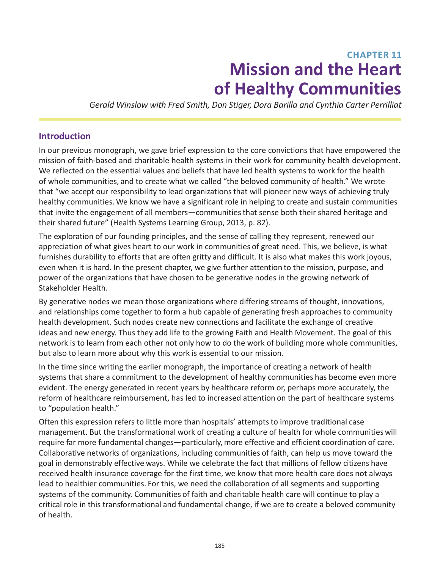# **CHAPTER 11 Mission and the Heart of Healthy Communities**

*Gerald Winslow with Fred Smith, Don Stiger, Dora Barilla and Cynthia Carter Perrilliat*

### **Introduction**

In our previous monograph, we gave brief expression to the core convictions that have empowered the mission of faith-based and charitable health systems in their work for community health development. We reflected on the essential values and beliefs that have led health systems to work for the health of whole communities, and to create what we called "the beloved community of health." We wrote that "we accept our responsibility to lead organizations that will pioneer new ways of achieving truly healthy communities. We know we have a significant role in helping to create and sustain communities that invite the engagement of all members—communitiesthat sense both their shared heritage and their shared future" (Health Systems Learning Group, 2013, p. 82).

The exploration of our founding principles, and the sense of calling they represent, renewed our appreciation of what gives heart to our work in communities of great need. This, we believe, is what furnishes durability to efforts that are often gritty and difficult. It is also what makes this work joyous, even when it is hard. In the present chapter, we give further attention to the mission, purpose, and power of the organizations that have chosen to be generative nodes in the growing network of Stakeholder Health.

By generative nodes we mean those organizations where differing streams of thought, innovations, and relationships come together to form a hub capable of generating fresh approaches to community health development. Such nodes create new connections and facilitate the exchange of creative ideas and new energy. Thus they add life to the growing Faith and Health Movement. The goal of this network is to learn from each other not only how to do the work of building more whole communities, but also to learn more about why this work is essential to our mission.

In the time since writing the earlier monograph, the importance of creating a network of health systems that share a commitment to the development of healthy communities has become even more evident. The energy generated in recent years by healthcare reform or, perhaps more accurately, the reform of healthcare reimbursement, has led to increased attention on the part of healthcare systems to "population health."

Often this expression refers to little more than hospitals' attemptsto improve traditional case management. But the transformational work of creating a culture of health for whole communities will require far more fundamental changes—particularly, more effective and efficient coordination of care. Collaborative networks of organizations, including communities of faith, can help us move toward the goal in demonstrably effective ways. While we celebrate the fact that millions of fellow citizens have received health insurance coverage for the first time, we know that more health care does not always lead to healthier communities. For this, we need the collaboration of all segments and supporting systems of the community. Communities of faith and charitable health care will continue to play a critical role in this transformational and fundamental change, if we are to create a beloved community of health.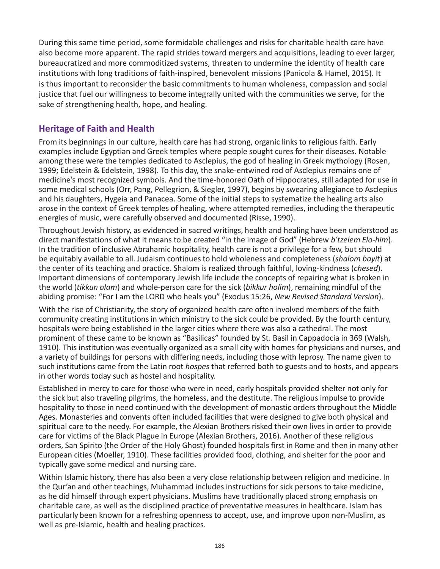During this same time period, some formidable challenges and risks for charitable health care have also become more apparent. The rapid strides toward mergers and acquisitions, leading to ever larger, bureaucratized and more commoditized systems, threaten to undermine the identity of health care institutions with long traditions of faith-inspired, benevolent missions (Panicola & Hamel, 2015). It is thus important to reconsider the basic commitments to human wholeness, compassion and social justice that fuel our willingness to become integrally united with the communities we serve, for the sake of strengthening health, hope, and healing.

## **Heritage of Faith and Health**

From its beginnings in our culture, health care has had strong, organic links to religious faith. Early examples include Egyptian and Greek temples where people sought cures for their diseases. Notable among these were the temples dedicated to Asclepius, the god of healing in Greek mythology (Rosen, 1999; Edelstein & Edelstein, 1998). To this day, the snake-entwined rod of Asclepius remains one of medicine's most recognized symbols. And the time-honored Oath of Hippocrates, still adapted for use in some medical schools (Orr, Pang, Pellegrion, & Siegler, 1997), begins by swearing allegiance to Asclepius and his daughters, Hygeia and Panacea. Some of the initial steps to systematize the healing arts also arose in the context of Greek temples of healing, where attempted remedies, including the therapeutic energies of music, were carefully observed and documented (Risse, 1990).

Throughout Jewish history, as evidenced in sacred writings, health and healing have been understood as direct manifestations of what it means to be created "in the image of God" (Hebrew *b'tzelem Elo-him*). In the tradition of inclusive Abrahamic hospitality, health care is not a privilege for a few, but should be equitably available to all. Judaism continuesto hold wholeness and completeness (*shalom bayit*) at the center of its teaching and practice. Shalom is realized through faithful, loving-kindness (*chesed*). Important dimensions of contemporary Jewish life include the concepts of repairing what is broken in the world (*tikkun olam*) and whole-person care for the sick (*bikkur holim*), remaining mindful of the abiding promise: "For I am the LORD who heals you" (Exodus 15:26, *New Revised Standard Version*).

With the rise of Christianity, the story of organized health care often involved members of the faith community creating institutions in which ministry to the sick could be provided. By the fourth century, hospitals were being established in the larger cities where there was also a cathedral. The most prominent of these came to be known as "Basilicas" founded by St. Basil in Cappadocia in 369 (Walsh, 1910). This institution was eventually organized as a small city with homes for physicians and nurses, and a variety of buildings for persons with differing needs, including those with leprosy. The name given to such institutions came from the Latin root *hospes* that referred both to guests and to hosts, and appears in other words today such as hostel and hospitality.

Established in mercy to care for those who were in need, early hospitals provided shelter not only for the sick but also traveling pilgrims, the homeless, and the destitute. The religious impulse to provide hospitality to those in need continued with the development of monastic orders throughout the Middle Ages. Monasteries and convents often included facilities that were designed to give both physical and spiritual care to the needy. For example, the Alexian Brothers risked their own lives in order to provide care for victims of the Black Plague in Europe (Alexian Brothers, 2016). Another of these religious orders, San Spirito (the Order of the Holy Ghost) founded hospitals first in Rome and then in many other European cities (Moeller, 1910). These facilities provided food, clothing, and shelter for the poor and typically gave some medical and nursing care.

Within Islamic history, there has also been a very close relationship between religion and medicine. In the Qur'an and other teachings, Muhammad includes instructionsfor sick persons to take medicine, as he did himself through expert physicians. Muslims have traditionally placed strong emphasis on charitable care, as well as the disciplined practice of preventative measures in healthcare. Islam has particularly been known for a refreshing openness to accept, use, and improve upon non-Muslim, as well as pre-Islamic, health and healing practices.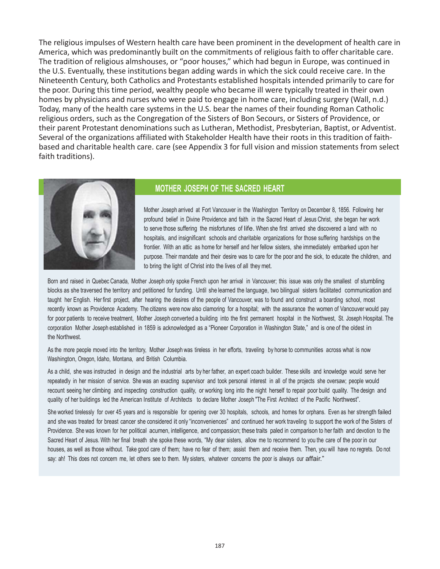The religious impulses of Western health care have been prominent in the development of health care in America, which was predominantly built on the commitments of religious faith to offer charitable care. The tradition of religious almshouses, or "poor houses," which had begun in Europe, was continued in the U.S. Eventually, these institutions began adding wards in which the sick could receive care. In the Nineteenth Century, both Catholics and Protestants established hospitals intended primarily to care for the poor. During this time period, wealthy people who became ill were typically treated in their own homes by physicians and nurses who were paid to engage in home care, including surgery (Wall, n.d.) Today, many of the health care systems in the U.S. bear the names of their founding Roman Catholic religious orders, such as the Congregation of the Sisters of Bon Secours, or Sisters of Providence, or their parent Protestant denominationssuch as Lutheran, Methodist, Presbyterian, Baptist, or Adventist. Several of the organizations affiliated with Stakeholder Health have their roots in this tradition of faithbased and charitable health care. care (see Appendix 3 for full vision and mission statements from select faith traditions).



### **MOTHER JOSEPH OF THE SACRED HEART**

Mother Joseph arrived at Fort Vancouver in the Washington Territory on December 8, 1856. Following her profound belief in Divine Providence and faith in the Sacred Heart of Jesus Christ, she began her work to serve those suffering the misfortunes of life. When she first arrived she discovered a land with no hospitals, and insignificant schools and charitable organizations for those suffering hardships on the frontier. With an attic as home for herself and her fellow sisters, she immediately embarked upon her purpose. Their mandate and their desire was to care for the poor and the sick, to educate the children, and to bring the light of Christ into the lives of all they met.

Born and raised in Quebec Canada, Mother Joseph only spoke French upon her arrival in Vancouver; this issue was only the smallest of stumbling blocks as she traversed the territory and petitioned for funding. Until she learned the language, two bilingual sisters facilitated communication and taught her English. Her first project, after hearing the desires of the people of Vancouver, was to found and construct a boarding school, most recently known as Providence Academy. The citizens were now also clamoring for a hospital; with the assurance the women of Vancouver would pay for poor patients to receive treatment, Mother Joseph converted a building into the first permanent hospital in the Northwest, St. Joseph Hospital. The corporation Mother Joseph established in 1859 is acknowledged as a "Pioneer Corporation in Washington State," and is one of the oldest in the Northwest.

As the more people moved into the territory, Mother Joseph was tireless in her efforts, traveling by horse to communities across what is now Washington, Oregon, Idaho, Montana, and British Columbia.

As a child, she was instructed in design and the industrial arts by her father, an expert coach builder. These skills and knowledge would serve her repeatedly in her mission of service. She was an exacting supervisor and took personal interest in all of the projects she oversaw; people would recount seeing her climbing and inspecting construction quality, or working long into the night herself to repair poor build quality. The design and quality of her buildings led the American Institute of Architects to declare Mother Joseph "The First Architect of the Pacific Northwest".

She worked tirelessly for over 45 years and is responsible for opening over 30 hospitals, schools, and homes for orphans. Even as her strength failed and she was treated for breast cancer she considered it only "inconveniences" and continued her work traveling to support the work of the Sisters of Providence. She was known for her political acumen, intelligence, and compassion; these traits paled in comparison to her faith and devotion to the Sacred Heart of Jesus. With her final breath she spoke these words, "My dear sisters, allow me to recommend to you the care of the poor in our houses, as well as those without. Take good care of them; have no fear of them; assist them and receive them. Then, you will have no regrets. Do not say: ah! This does not concern me, let others see to them. My sisters, whatever concerns the poor is always our affair."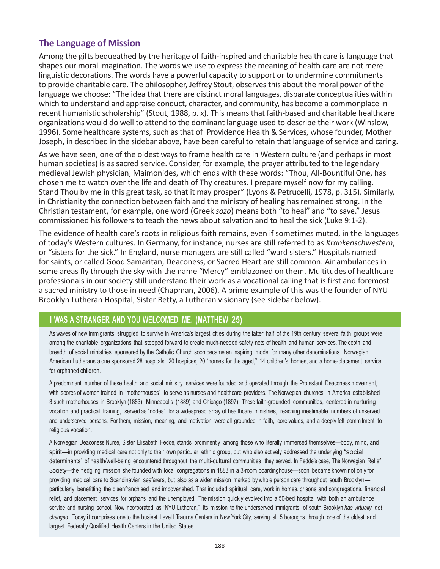## **The Language of Mission**

Among the gifts bequeathed by the heritage of faith-inspired and charitable health care is language that shapes our moral imagination. The words we use to express the meaning of health care are not mere linguistic decorations. The words have a powerful capacity to support or to undermine commitments to provide charitable care. The philosopher, Jeffrey Stout, observes this about the moral power of the language we choose: "The idea that there are distinct moral languages, disparate conceptualities within which to understand and appraise conduct, character, and community, has become a commonplace in recent humanistic scholarship" (Stout, 1988, p. x). This means that faith-based and charitable healthcare organizations would do well to attend to the dominant language used to describe their work (Winslow, 1996). Some healthcare systems, such as that of Providence Health & Services, whose founder, Mother Joseph, in described in the sidebar above, have been careful to retain that language of service and caring.

As we have seen, one of the oldest ways to frame health care in Western culture (and perhaps in most human societies) is as sacred service. Consider, for example, the prayer attributed to the legendary medieval Jewish physician, Maimonides, which ends with these words: "Thou, All-Bountiful One, has chosen me to watch over the life and death of Thy creatures. I prepare myself now for my calling. Stand Thou by me in this great task, so that it may prosper" (Lyons & Petrucelli, 1978, p. 315). Similarly, in Christianity the connection between faith and the ministry of healing has remained strong. In the Christian testament, for example, one word (Greek *sozo*) means both "to heal" and "to save." Jesus commissioned his followers to teach the news about salvation and to heal the sick (Luke 9:1-2).

The evidence of health care's roots in religious faith remains, even if sometimes muted, in the languages of today's Western cultures. In Germany, for instance, nurses are still referred to as *Krankenschwestern*, or "sisters for the sick." In England, nurse managers are still called "ward sisters." Hospitals named for saints, or called Good Samaritan, Deaconess, or Sacred Heart are still common. Air ambulances in some areas fly through the sky with the name "Mercy" emblazoned on them. Multitudes of healthcare professionals in our society still understand their work as a vocational calling that is first and foremost a sacred ministry to those in need (Chapman, 2006). A prime example of this was the founder of NYU Brooklyn Lutheran Hospital, Sister Betty, a Lutheran visionary (see sidebar below).

### **I WAS <sup>A</sup> STRANGER AND YOU WELCOMED ME. (MATTHEW 25)**

As waves of new immigrants struggled to survive in America's largest cities during the latter half of the 19th century, several faith groups were among the charitable organizations that stepped forward to create much-needed safety nets of health and human services. The depth and breadth of social ministries sponsored by the Catholic Church soon became an inspiring model for many other denominations. Norwegian American Lutherans alone sponsored 28 hospitals, 20 hospices, 20 "homes for the aged," 14 children's homes, and a home-placement service for orphaned children.

A predominant number of these health and social ministry services were founded and operated through the Protestant Deaconess movement, with scores of women trained in "motherhouses" to serve as nurses and healthcare providers. The Norwegian churches in America established 3 such motherhouses in Brooklyn (1883), Minneapolis (1889) and Chicago (1897). These faith-grounded communities, centered in nurturing vocation and practical training, served as "nodes" for a widespread array of healthcare ministries, reaching inestimable numbers of unserved and underserved persons. For them, mission, meaning, and motivation were all grounded in faith, core values, and a deeply felt commitment to religious vocation.

A Norwegian Deaconess Nurse, Sister Elisabeth Fedde, stands prominently among those who literally immersed themselves—body, mind, and spirit—in providing medical care not only to their own particular ethnic group, but who also actively addressed the underlying "social determinants" of health/well-being encountered throughout the multi-cultural communities they served. In Fedde's case, The Norwegian Relief Society—the fledgling mission she founded with local congregations in 1883 in a 3-room boardinghouse—soon became known not only for providing medical care to Scandinavian seafarers, but also as a wider mission marked by whole person care throughout south Brooklyn particularly benefitting the disenfranchised and impoverished. That included spiritual care, work in homes, prisons and congregations, financial relief, and placement services for orphans and the unemployed. The mission quickly evolved into a 50-bed hospital with both an ambulance service and nursing school. Now incorporated as "NYU Lutheran," its mission to the underserved immigrants of south Brooklyn *has virtually not changed*. Today it comprises one to the busiest Level I Trauma Centers in New York City, serving all 5 boroughs through one of the oldest and largest Federally Qualified Health Centers in the United States.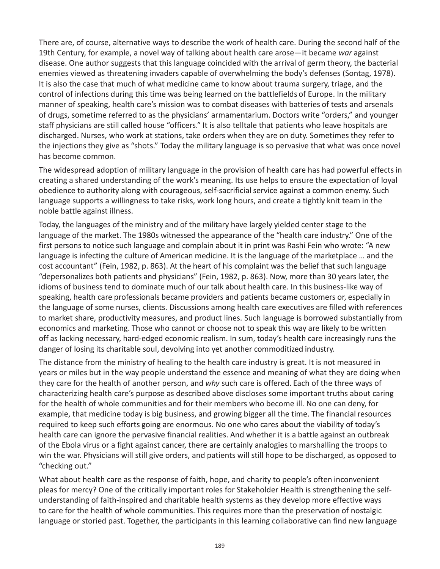There are, of course, alternative ways to describe the work of health care. During the second half of the 19th Century, for example, a novel way of talking about health care arose—it became *war* against disease. One author suggests that this language coincided with the arrival of germ theory, the bacterial enemies viewed as threatening invaders capable of overwhelming the body's defenses (Sontag, 1978). It is also the case that much of what medicine came to know about trauma surgery, triage, and the control of infections during this time was being learned on the battlefields of Europe. In the military manner of speaking, health care's mission was to combat diseases with batteries of tests and arsenals of drugs, sometime referred to as the physicians' armamentarium. Doctors write "orders," and younger staff physicians are still called house "officers." It is also telltale that patients who leave hospitals are discharged. Nurses, who work at stations, take orders when they are on duty. Sometimes they refer to the injections they give as "shots." Today the military language is so pervasive that what was once novel has become common.

The widespread adoption of military language in the provision of health care has had powerful effects in creating a shared understanding of the work's meaning. Its use helps to ensure the expectation of loyal obedience to authority along with courageous, self-sacrificialservice against a common enemy. Such language supports a willingness to take risks, work long hours, and create a tightly knit team in the noble battle against illness.

Today, the languages of the ministry and of the military have largely yielded center stage to the language of the market. The 1980s witnessed the appearance of the "health care industry." One of the first persons to notice such language and complain about it in print was Rashi Fein who wrote: "A new language is infecting the culture of American medicine. It is the language of the marketplace … and the cost accountant" (Fein, 1982, p. 863). At the heart of his complaint was the belief that such language "depersonalizes both patients and physicians" (Fein, 1982, p. 863). Now, more than 30 years later, the idioms of business tend to dominate much of our talk about health care. In this business-like way of speaking, health care professionals became providers and patients became customers or, especially in the language of some nurses, clients. Discussions among health care executives are filled with references to market share, productivity measures, and product lines. Such language is borrowed substantially from economics and marketing. Those who cannot or choose not to speak this way are likely to be written off as lacking necessary, hard-edged economic realism. In sum, today's health care increasingly runs the danger of losing its charitable soul, devolving into yet another commoditized industry.

The distance from the ministry of healing to the health care industry is great. It is not measured in years or miles but in the way people understand the essence and meaning of what they are doing when they care for the health of another person, and *why* such care is offered. Each of the three ways of characterizing health care's purpose as described above discloses some important truths about caring for the health of whole communities and for their members who become ill. No one can deny, for example, that medicine today is big business, and growing bigger all the time. The financial resources required to keep such efforts going are enormous. No one who cares about the viability of today's health care can ignore the pervasive financial realities. And whether it is a battle against an outbreak of the Ebola virus or a fight against cancer, there are certainly analogies to marshalling the troops to win the war. Physicians will still give orders, and patients will still hope to be discharged, as opposed to "checking out."

What about health care as the response of faith, hope, and charity to people's often inconvenient pleas for mercy? One of the critically important roles for Stakeholder Health is strengthening the selfunderstanding of faith-inspired and charitable health systems as they develop more effective ways to care for the health of whole communities. This requires more than the preservation of nostalgic language or storied past. Together, the participants in this learning collaborative can find new language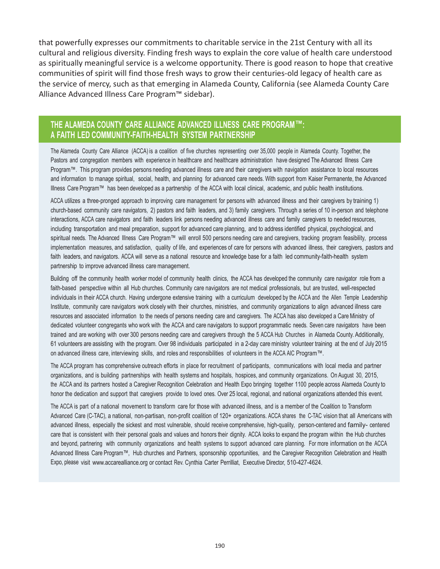that powerfully expresses our commitments to charitable service in the 21st Century with all its cultural and religious diversity. Finding fresh ways to explain the core value of health care understood as spiritually meaningful service is a welcome opportunity. There is good reason to hope that creative communities of spirit will find those fresh ways to grow their centuries-old legacy of health care as the service of mercy, such as that emerging in Alameda County, California (see Alameda County Care Alliance Advanced Illness Care Program™ sidebar).

### **THE ALAMEDA COUNTY CARE ALLIANCE ADVANCED ILLNESS CARE PROGRAM™: A FAITH LED COMMUNITY-FAITH-HEALTH SYSTEM PARTNERSHIP**

The Alameda County Care Alliance (ACCA) is a coalition of five churches representing over 35,000 people in Alameda County. Together, the Pastors and congregation members with experience in healthcare and healthcare administration have designed The Advanced Illness Care Program™. This program provides persons needing advanced illness care and their caregivers with navigation assistance to local resources and information to manage spiritual, social, health, and planning for advanced care needs. With support from Kaiser Permanente, the Advanced Illness Care Program™ has been developed as a partnership of the ACCA with local clinical, academic, and public health institutions.

ACCA utilizes a three-pronged approach to improving care management for persons with advanced illness and their caregivers by training 1) church-based community care navigators, 2) pastors and faith leaders, and 3) family caregivers. Through a series of 10 in-person and telephone interactions, ACCA care navigators and faith leaders link persons needing advanced illness care and family caregivers to needed resources, including transportation and meal preparation, support for advanced care planning, and to address identified physical, psychological, and spiritual needs. The Advanced Illness Care Program™ will enroll 500 persons needing care and caregivers, tracking program feasibility, process implementation measures, and satisfaction, quality of life, and experiences of care for persons with advanced illness, their caregivers, pastors and faith leaders, and navigators. ACCA will serve as a national resource and knowledge base for a faith led community-faith-health system partnership to improve advanced illness care management.

Building off the community health worker model of community health clinics, the ACCA has developed the community care navigator role from a faith-based perspective within all Hub churches. Community care navigators are not medical professionals, but are trusted, well-respected individuals in their ACCA church. Having undergone extensive training with a curriculum developed by the ACCA and the Allen Temple Leadership Institute, community care navigators work closely with their churches, ministries, and community organizations to align advanced illness care resources and associated information to the needs of persons needing care and caregivers. The ACCA has also developed a Care Ministry of dedicated volunteer congregants who work with the ACCA and care navigators to support programmatic needs. Seven care navigators have been trained and are working with over 300 persons needing care and caregivers through the 5 ACCA Hub Churches in Alameda County. Additionally, 61 volunteers are assisting with the program. Over 98 individuals participated in a 2-day care ministry volunteer training at the end of July 2015 on advanced illness care, interviewing skills, and roles and responsibilities of volunteers in the ACCA AIC Program™.

The ACCA program has comprehensive outreach efforts in place for recruitment of participants, communications with local media and partner organizations, and is building partnerships with health systems and hospitals, hospices, and community organizations. On August 30, 2015, the ACCA and its partners hosted a Caregiver Recognition Celebration and Health Expo bringing together 1100 people across Alameda County to honor the dedication and support that caregivers provide to loved ones. Over 25 local, regional, and national organizations attended this event.

The ACCA is part of a national movement to transform care for those with advanced illness, and is a member of the Coalition to Transform Advanced Care (C-TAC), a national, non-partisan, non-profit coalition of 120+ organizations. ACCA shares the C-TAC vision that all Americans with advanced illness, especially the sickest and most vulnerable, should receive comprehensive, high-quality, person-centered and family- centered care that is consistent with their personal goals and values and honors their dignity. ACCA looks to expand the program within the Hub churches and beyond, partnering with community organizations and health systems to support advanced care planning. For more information on the ACCA Advanced Illness Care Program™, Hub churches and Partners, sponsorship opportunities, and the Caregiver Recognition Celebration and Health Expo, please visit [www.accarealliance.org](http://www.accarealliance.org/) or contact Rev. Cynthia Carter Perrilliat, Executive Director, 510-427-4624.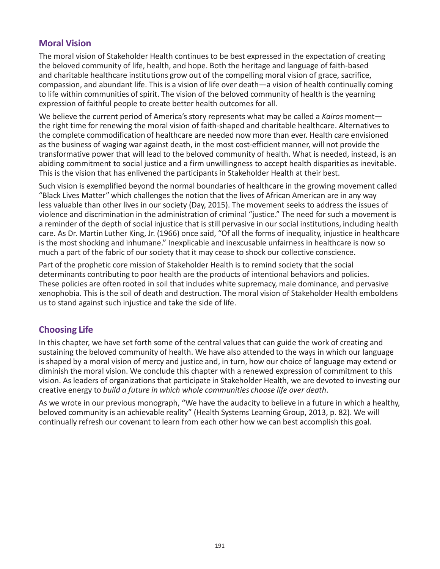## **Moral Vision**

The moral vision of Stakeholder Health continues to be best expressed in the expectation of creating the beloved community of life, health, and hope. Both the heritage and language of faith-based and charitable healthcare institutions grow out of the compelling moral vision of grace, sacrifice, compassion, and abundant life. This is a vision of life over death—a vision of health continually coming to life within communities of spirit. The vision of the beloved community of health is the yearning expression of faithful people to create better health outcomes for all.

We believe the current period of America's story represents what may be called a *Kairos* moment the right time for renewing the moral vision of faith-shaped and charitable healthcare. Alternatives to the complete commodification of healthcare are needed now more than ever. Health care envisioned as the business of waging war against death, in the most cost-efficient manner, will not provide the transformative power that will lead to the beloved community of health. What is needed, instead, is an abiding commitment to social justice and a firm unwillingness to accept health disparities as inevitable. This is the vision that has enlivened the participantsin Stakeholder Health at their best.

Such vision is exemplified beyond the normal boundaries of healthcare in the growing movement called "Black Lives Matter" which challenges the notion that the lives of African American are in any way less valuable than other lives in our society (Day, 2015). The movement seeks to address the issues of violence and discrimination in the administration of criminal "justice." The need for such a movement is a reminder of the depth of social injustice that is still pervasive in our social institutions, including health care. As Dr. Martin Luther King, Jr. (1966) once said, "Of all the forms of inequality, injustice in healthcare is the most shocking and inhumane." Inexplicable and inexcusable unfairness in healthcare is now so much a part of the fabric of our society that it may cease to shock our collective conscience.

Part of the prophetic core mission of Stakeholder Health is to remind society that the social determinants contributing to poor health are the products of intentional behaviors and policies. These policies are often rooted in soil that includes white supremacy, male dominance, and pervasive xenophobia. This is the soil of death and destruction. The moral vision of Stakeholder Health emboldens us to stand against such injustice and take the side of life.

# **Choosing Life**

In this chapter, we have set forth some of the central values that can guide the work of creating and sustaining the beloved community of health. We have also attended to the ways in which our language is shaped by a moral vision of mercy and justice and, in turn, how our choice of language may extend or diminish the moral vision. We conclude this chapter with a renewed expression of commitment to this vision. As leaders of organizations that participate in Stakeholder Health, we are devoted to investing our creative energy to *build a future in which whole communities choose life over death*.

As we wrote in our previous monograph, "We have the audacity to believe in a future in which a healthy, beloved community is an achievable reality" (Health Systems Learning Group, 2013, p. 82). We will continually refresh our covenant to learn from each other how we can best accomplish this goal.